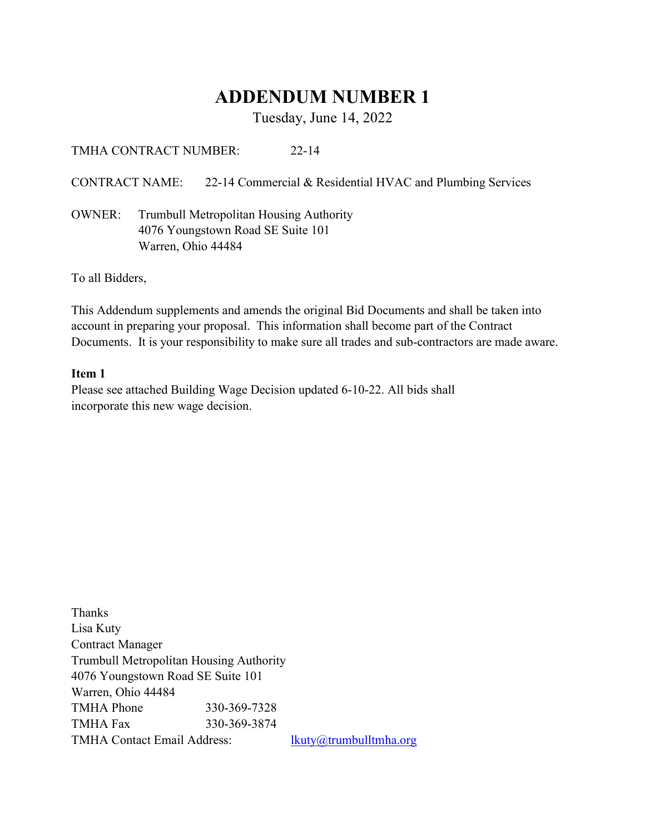# ADDENDUM NUMBER 1

Tuesday, June 14, 2022

TMHA CONTRACT NUMBER: 22-14

CONTRACT NAME: 22-14 Commercial & Residential HVAC and Plumbing Services

OWNER: Trumbull Metropolitan Housing Authority 4076 Youngstown Road SE Suite 101 Warren, Ohio 44484

To all Bidders,

This Addendum supplements and amends the original Bid Documents and shall be taken into account in preparing your proposal. This information shall become part of the Contract Documents. It is your responsibility to make sure all trades and sub-contractors are made aware.

### Item 1

Please see attached Building Wage Decision updated 6-10-22. All bids shall incorporate this new wage decision.

Thanks Lisa Kuty Contract Manager Trumbull Metropolitan Housing Authority 4076 Youngstown Road SE Suite 101 Warren, Ohio 44484 TMHA Phone 330-369-7328 TMHA Fax 330-369-3874 TMHA Contact Email Address: lkuty@trumbulltmha.org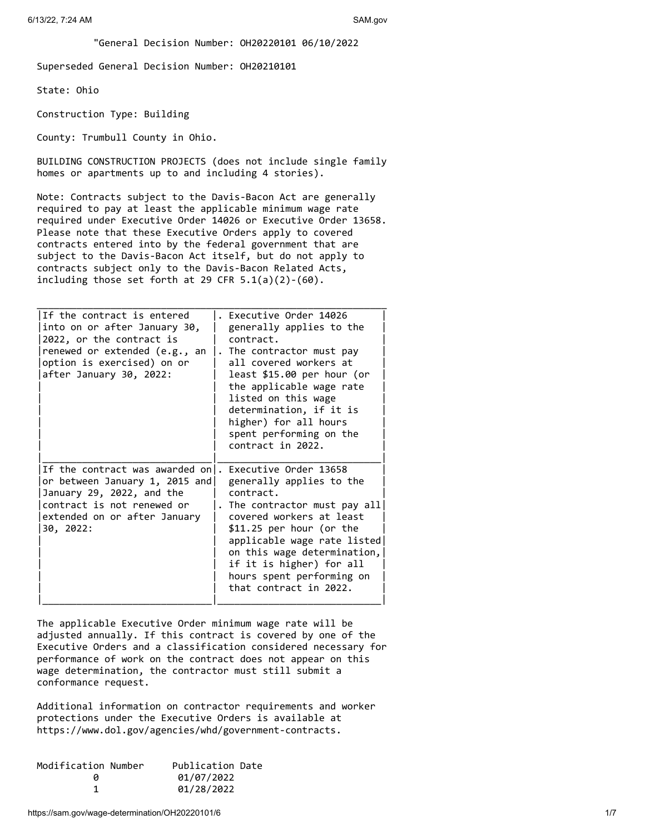"General Decision Number: OH20220101 06/10/2022

Superseded General Decision Number: OH20210101

State: Ohio

Construction Type: Building

County: Trumbull County in Ohio.

BUILDING CONSTRUCTION PROJECTS (does not include single family homes or apartments up to and including 4 stories).

Note: Contracts subject to the Davis-Bacon Act are generally required to pay at least the applicable minimum wage rate required under Executive Order 14026 or Executive Order 13658. Please note that these Executive Orders apply to covered contracts entered into by the federal government that are subject to the Davis-Bacon Act itself, but do not apply to contracts subject only to the Davis-Bacon Related Acts, including those set forth at 29 CFR  $5.1(a)(2)-(60)$ .

\_\_\_\_\_\_\_\_\_\_\_\_\_\_\_\_\_\_\_\_\_\_\_\_\_\_\_\_\_\_\_\_\_\_\_\_\_\_\_\_\_\_\_\_\_\_\_\_\_\_\_\_\_\_\_\_\_\_\_\_\_\_

| If the contract is entered<br>into on or after January 30,<br>2022, or the contract is<br>renewed or extended (e.g., an<br>option is exercised) on or<br>after January 30, 2022: | Executive Order 14026<br>generally applies to the<br>contract.<br>The contractor must pay<br>all covered workers at<br>least \$15.00 per hour (or<br>the applicable wage rate<br>listed on this wage<br>determination, if it is<br>higher) for all hours<br>spent performing on the<br>contract in 2022.   |
|----------------------------------------------------------------------------------------------------------------------------------------------------------------------------------|------------------------------------------------------------------------------------------------------------------------------------------------------------------------------------------------------------------------------------------------------------------------------------------------------------|
| If the contract was awarded on.<br>or between January 1, 2015 and<br>January 29, 2022, and the<br>contract is not renewed or<br>extended on or after January<br>30, 2022:        | Executive Order 13658<br>generally applies to the<br>contract.<br>. The contractor must pay all<br>covered workers at least<br>$$11.25$ per hour (or the<br>applicable wage rate listed <br>on this wage determination,<br>if it is higher) for all<br>hours spent performing on<br>that contract in 2022. |

The applicable Executive Order minimum wage rate will be adjusted annually. If this contract is covered by one of the Executive Orders and a classification considered necessary for performance of work on the contract does not appear on this wage determination, the contractor must still submit a conformance request.

Additional information on contractor requirements and worker protections under the Executive Orders is available at https://www.dol.gov/agencies/whd/government-contracts.

| Modification Number | Publication Date |  |
|---------------------|------------------|--|
| и                   | 01/07/2022       |  |
|                     | 01/28/2022       |  |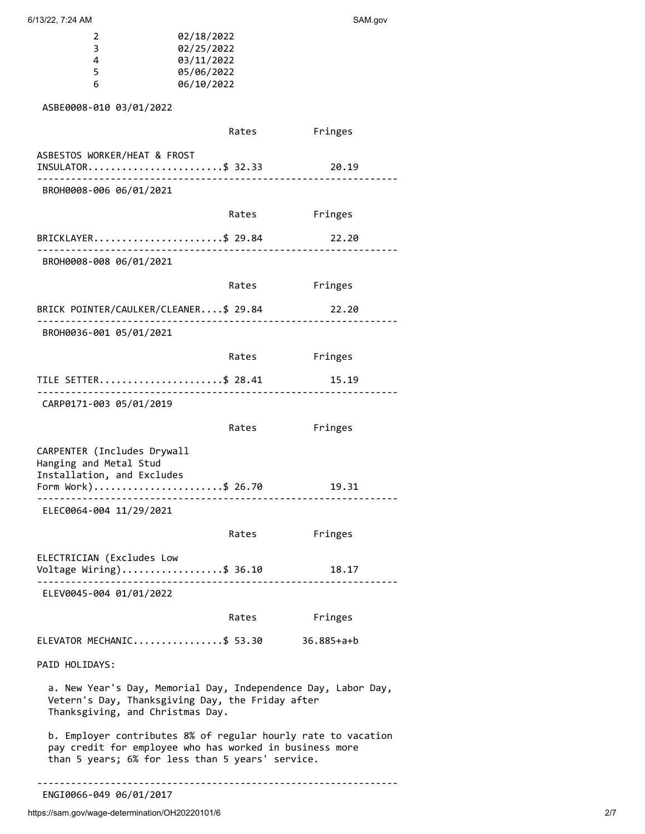| 2  | 02/18/2022 |
|----|------------|
| 3. | 02/25/2022 |
| Δ. | 03/11/2022 |
| 5  | 05/06/2022 |
| h  | 06/10/2022 |

ASBE0008-010 03/01/2022

|                                                                                                                                                                              | Rates | Fringes    |
|------------------------------------------------------------------------------------------------------------------------------------------------------------------------------|-------|------------|
| ASBESTOS WORKER/HEAT & FROST<br>INSULATOR\$ 32.33<br>-------------------------------                                                                                         |       | 20.19      |
| BROH0008-006 06/01/2021                                                                                                                                                      |       |            |
|                                                                                                                                                                              | Rates | Fringes    |
| BRICKLAYER\$ 29.84<br><u>_______________________</u>                                                                                                                         |       | 22.20      |
| BROH0008-008 06/01/2021                                                                                                                                                      |       |            |
|                                                                                                                                                                              | Rates | Fringes    |
| BRICK POINTER/CAULKER/CLEANER\$ 29.84                                                                                                                                        |       | 22.20      |
| BROH0036-001 05/01/2021                                                                                                                                                      |       |            |
|                                                                                                                                                                              | Rates | Fringes    |
| TILE SETTER\$ 28.41                                                                                                                                                          |       | 15.19      |
| CARP0171-003 05/01/2019                                                                                                                                                      |       |            |
|                                                                                                                                                                              | Rates | Fringes    |
| CARPENTER (Includes Drywall<br>Hanging and Metal Stud<br>Installation, and Excludes<br>Form Work)\$ 26.70                                                                    |       | 19.31      |
| .<br>ELEC0064-004 11/29/2021                                                                                                                                                 |       |            |
|                                                                                                                                                                              | Rates | Fringes    |
| ELECTRICIAN (Excludes Low<br>Voltage Wiring)\$ 36.10<br>ELEV0045-004 01/01/2022                                                                                              |       | 18.17      |
|                                                                                                                                                                              | Rates | Fringes    |
| ELEVATOR MECHANIC\$ 53.30                                                                                                                                                    |       | 36.885+a+b |
| PAID HOLIDAYS:                                                                                                                                                               |       |            |
| a. New Year's Day, Memorial Day, Independence Day, Labor Day,<br>Vetern's Day, Thanksgiving Day, the Friday after<br>Thanksgiving, and Christmas Day.                        |       |            |
| b. Employer contributes 8% of regular hourly rate to vacation<br>pay credit for employee who has worked in business more<br>than 5 years; 6% for less than 5 years' service. |       |            |
|                                                                                                                                                                              |       |            |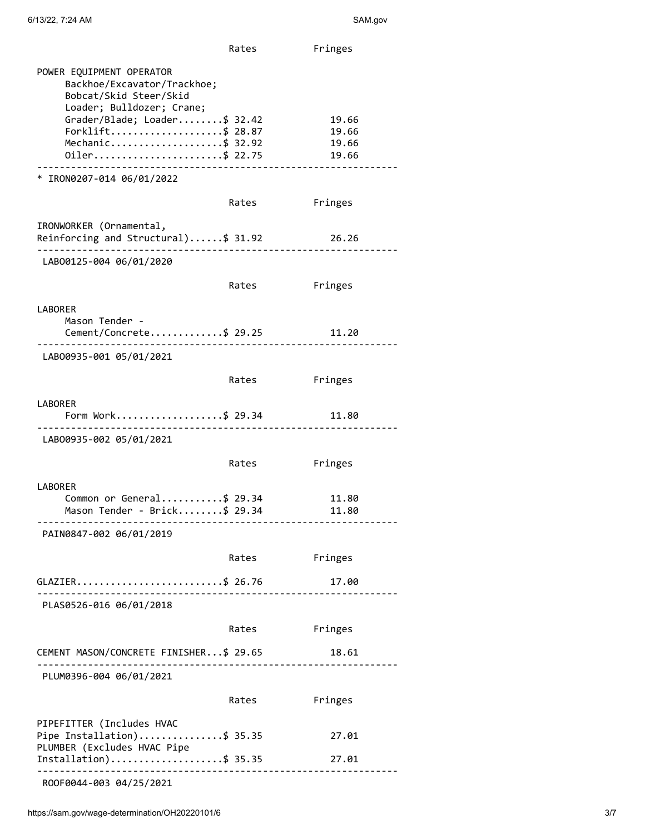|                                                                                                                                                                                                         | Rates | Fringes                          |
|---------------------------------------------------------------------------------------------------------------------------------------------------------------------------------------------------------|-------|----------------------------------|
| POWER EQUIPMENT OPERATOR<br>Backhoe/Excavator/Trackhoe;<br>Bobcat/Skid Steer/Skid<br>Loader; Bulldozer; Crane;<br>Grader/Blade; Loader\$ 32.42<br>Forklift\$ 28.87<br>Mechanic\$ 32.92<br>0iler\$ 22.75 |       | 19.66<br>19.66<br>19.66<br>19.66 |
| * IRON0207-014 06/01/2022                                                                                                                                                                               |       |                                  |
|                                                                                                                                                                                                         | Rates | Fringes                          |
| IRONWORKER (Ornamental,<br>Reinforcing and Structural)\$ 31.92 26.26                                                                                                                                    |       |                                  |
| LAB00125-004 06/01/2020                                                                                                                                                                                 |       |                                  |
|                                                                                                                                                                                                         | Rates | Fringes                          |
| LABORER<br>Mason Tender -<br>Cement/Concrete\$ 29.25                                                                                                                                                    |       | 11.20                            |
| LAB00935-001 05/01/2021                                                                                                                                                                                 |       |                                  |
|                                                                                                                                                                                                         | Rates | Fringes                          |
| <b>LABORER</b><br>Form Work\$ 29.34                                                                                                                                                                     |       | 11.80                            |
| .<br>LAB00935-002 05/01/2021                                                                                                                                                                            |       |                                  |
|                                                                                                                                                                                                         | Rates | Fringes                          |
| LABORER<br>Common or General\$ 29.34<br>Mason Tender - Brick\$ 29.34                                                                                                                                    |       | 11.80<br>11.80                   |
| PAIN0847-002 06/01/2019                                                                                                                                                                                 |       |                                  |
|                                                                                                                                                                                                         | Rates | Fringes                          |
| GLAZIER\$ 26.76                                                                                                                                                                                         |       | 17.00                            |
| PLAS0526-016 06/01/2018                                                                                                                                                                                 |       |                                  |
|                                                                                                                                                                                                         | Rates | Fringes                          |
| CEMENT MASON/CONCRETE FINISHER\$ 29.65                                                                                                                                                                  |       | 18.61                            |
| PLUM0396-004 06/01/2021                                                                                                                                                                                 |       |                                  |
|                                                                                                                                                                                                         | Rates | Fringes                          |
| PIPEFITTER (Includes HVAC<br>Pipe Installation)\$ 35.35<br>PLUMBER (Excludes HVAC Pipe<br>Installation)\$ 35.35                                                                                         |       | 27.01                            |
| _______________________________<br>ROOF0044-003 04/25/2021                                                                                                                                              |       | 27.01                            |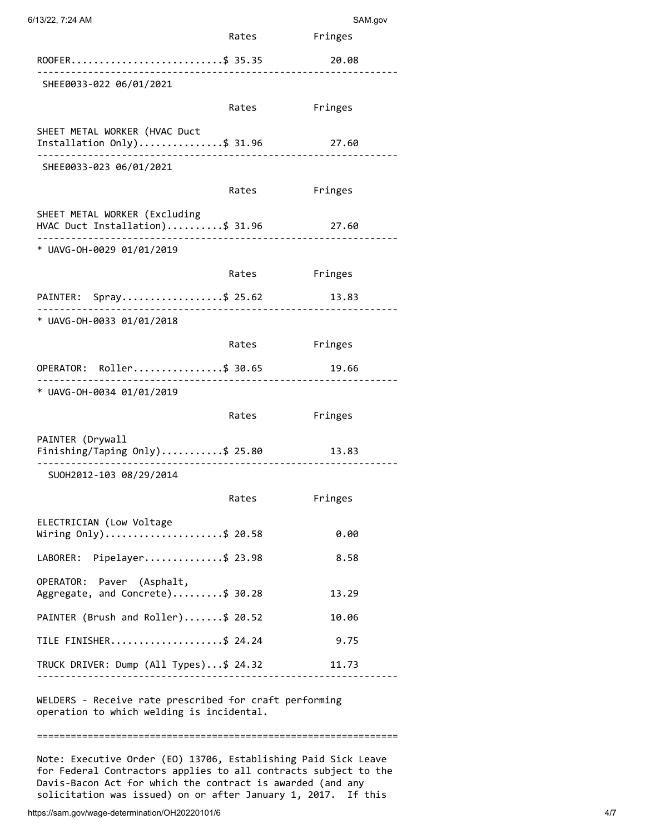| 6/13/22, 7:24 AM                                                                                    |              | SAM.gov       |
|-----------------------------------------------------------------------------------------------------|--------------|---------------|
|                                                                                                     |              | Rates Fringes |
| ROOFER\$ 35.35                                                                                      |              | 20.08         |
| SHEE0033-022 06/01/2021                                                                             |              |               |
|                                                                                                     | Rates        | Fringes       |
| SHEET METAL WORKER (HVAC Duct<br>Installation Only)\$ 31.96                                         |              | 27.60         |
| SHEE0033-023 06/01/2021                                                                             |              |               |
|                                                                                                     | Rates        | Fringes       |
| SHEET METAL WORKER (Excluding<br>HVAC Duct Installation)\$ 31.96                                    |              | 27.60         |
| * UAVG-0H-0029 01/01/2019                                                                           |              |               |
|                                                                                                     | Rates        | Fringes       |
| PAINTER: Spray\$ 25.62 13.83                                                                        |              |               |
| * UAVG-OH-0033 01/01/2018                                                                           | . <u>.</u> . |               |
|                                                                                                     | Rates        | Fringes       |
| OPERATOR: Roller\$ 30.65                                                                            |              | 19.66         |
| * UAVG-OH-0034 01/01/2019                                                                           |              |               |
|                                                                                                     | Rates        | Fringes       |
| PAINTER (Drywall<br>Finishing/Taping Only)\$ 25.80                                                  |              | 13.83         |
| SU0H2012-103 08/29/2014                                                                             |              |               |
|                                                                                                     | Rates        | Fringes       |
| ELECTRICIAN (Low Voltage<br>Wiring Only)\$ 20.58                                                    |              | 0.00          |
| LABORER: Pipelayer\$ 23.98                                                                          |              | 8.58          |
| OPERATOR: Paver (Asphalt,<br>Aggregate, and Concrete)\$ 30.28                                       |              | 13.29         |
| PAINTER (Brush and Roller)\$ 20.52                                                                  |              | 10.06         |
| TILE FINISHER\$ 24.24                                                                               |              | 9.75          |
| TRUCK DRIVER: Dump (All Types)\$ 24.32                                                              |              | 11.73         |
| WELDERS - Receive rate prescribed for craft performing<br>operation to which welding is incidental. |              |               |

Note: Executive Order (EO) 13706, Establishing Paid Sick Leave for Federal Contractors applies to all contracts subject to the Davis-Bacon Act for which the contract is awarded (and any solicitation was issued) on or after January 1, 2017. If this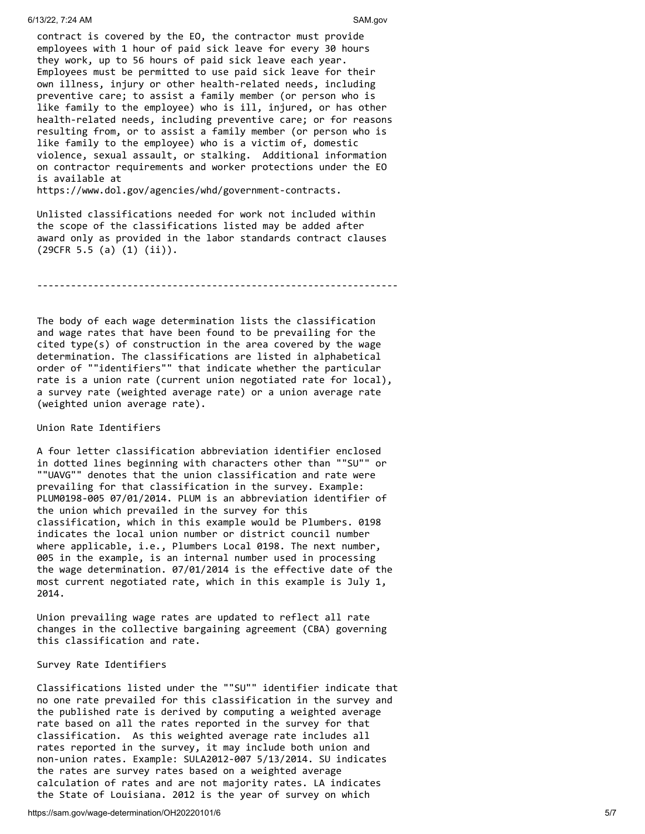contract is covered by the EO, the contractor must provide employees with 1 hour of paid sick leave for every 30 hours they work, up to 56 hours of paid sick leave each year. Employees must be permitted to use paid sick leave for their own illness, injury or other health-related needs, including preventive care; to assist a family member (or person who is like family to the employee) who is ill, injured, or has other health-related needs, including preventive care; or for reasons resulting from, or to assist a family member (or person who is like family to the employee) who is a victim of, domestic violence, sexual assault, or stalking. Additional information on contractor requirements and worker protections under the EO is available at

https://www.dol.gov/agencies/whd/government-contracts.

Unlisted classifications needed for work not included within the scope of the classifications listed may be added after award only as provided in the labor standards contract clauses (29CFR 5.5 (a) (1) (ii)).

----------------------------------------------------------------

The body of each wage determination lists the classification and wage rates that have been found to be prevailing for the cited type(s) of construction in the area covered by the wage determination. The classifications are listed in alphabetical order of ""identifiers"" that indicate whether the particular rate is a union rate (current union negotiated rate for local), a survey rate (weighted average rate) or a union average rate (weighted union average rate).

#### Union Rate Identifiers

A four letter classification abbreviation identifier enclosed in dotted lines beginning with characters other than ""SU"" or ""UAVG"" denotes that the union classification and rate were prevailing for that classification in the survey. Example: PLUM0198-005 07/01/2014. PLUM is an abbreviation identifier of the union which prevailed in the survey for this classification, which in this example would be Plumbers. 0198 indicates the local union number or district council number where applicable, i.e., Plumbers Local 0198. The next number, 005 in the example, is an internal number used in processing the wage determination. 07/01/2014 is the effective date of the most current negotiated rate, which in this example is July 1, 2014.

Union prevailing wage rates are updated to reflect all rate changes in the collective bargaining agreement (CBA) governing this classification and rate.

#### Survey Rate Identifiers

Classifications listed under the ""SU"" identifier indicate that no one rate prevailed for this classification in the survey and the published rate is derived by computing a weighted average rate based on all the rates reported in the survey for that classification. As this weighted average rate includes all rates reported in the survey, it may include both union and non-union rates. Example: SULA2012-007 5/13/2014. SU indicates the rates are survey rates based on a weighted average calculation of rates and are not majority rates. LA indicates the State of Louisiana. 2012 is the year of survey on which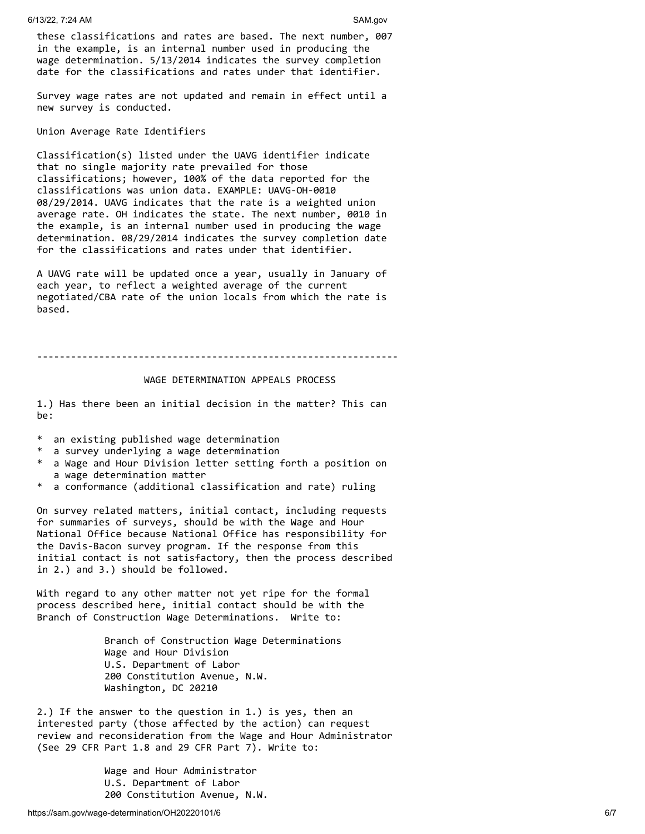these classifications and rates are based. The next number, 007 in the example, is an internal number used in producing the wage determination. 5/13/2014 indicates the survey completion date for the classifications and rates under that identifier.

Survey wage rates are not updated and remain in effect until a new survey is conducted.

Union Average Rate Identifiers

Classification(s) listed under the UAVG identifier indicate that no single majority rate prevailed for those classifications; however, 100% of the data reported for the classifications was union data. EXAMPLE: UAVG-OH-0010 08/29/2014. UAVG indicates that the rate is a weighted union average rate. OH indicates the state. The next number, 0010 in the example, is an internal number used in producing the wage determination. 08/29/2014 indicates the survey completion date for the classifications and rates under that identifier.

A UAVG rate will be updated once a year, usually in January of each year, to reflect a weighted average of the current negotiated/CBA rate of the union locals from which the rate is based.

----------------------------------------------------------------

#### WAGE DETERMINATION APPEALS PROCESS

1.) Has there been an initial decision in the matter? This can be:

- \* an existing published wage determination
- a survey underlying a wage determination
- \* a Wage and Hour Division letter setting forth a position on a wage determination matter
- \* a conformance (additional classification and rate) ruling

On survey related matters, initial contact, including requests for summaries of surveys, should be with the Wage and Hour National Office because National Office has responsibility for the Davis-Bacon survey program. If the response from this initial contact is not satisfactory, then the process described in 2.) and 3.) should be followed.

With regard to any other matter not yet ripe for the formal process described here, initial contact should be with the Branch of Construction Wage Determinations. Write to:

> Branch of Construction Wage Determinations Wage and Hour Division U.S. Department of Labor 200 Constitution Avenue, N.W. Washington, DC 20210

2.) If the answer to the question in 1.) is yes, then an interested party (those affected by the action) can request review and reconsideration from the Wage and Hour Administrator (See 29 CFR Part 1.8 and 29 CFR Part 7). Write to:

> Wage and Hour Administrator U.S. Department of Labor 200 Constitution Avenue, N.W.